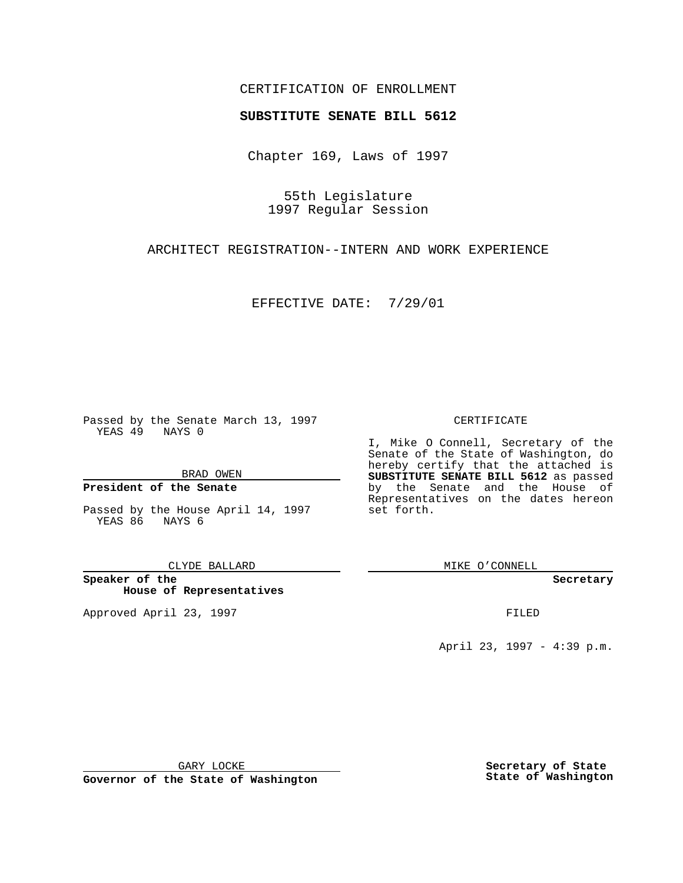## CERTIFICATION OF ENROLLMENT

# **SUBSTITUTE SENATE BILL 5612**

Chapter 169, Laws of 1997

55th Legislature 1997 Regular Session

ARCHITECT REGISTRATION--INTERN AND WORK EXPERIENCE

EFFECTIVE DATE: 7/29/01

Passed by the Senate March 13, 1997 YEAS 49 NAYS 0

BRAD OWEN

### **President of the Senate**

Passed by the House April 14, 1997 YEAS 86 NAYS 6

CLYDE BALLARD

**Speaker of the House of Representatives**

Approved April 23, 1997 **FILED** 

#### CERTIFICATE

I, Mike O Connell, Secretary of the Senate of the State of Washington, do hereby certify that the attached is **SUBSTITUTE SENATE BILL 5612** as passed by the Senate and the House of Representatives on the dates hereon set forth.

MIKE O'CONNELL

**Secretary**

April 23, 1997 - 4:39 p.m.

GARY LOCKE

**Governor of the State of Washington**

**Secretary of State State of Washington**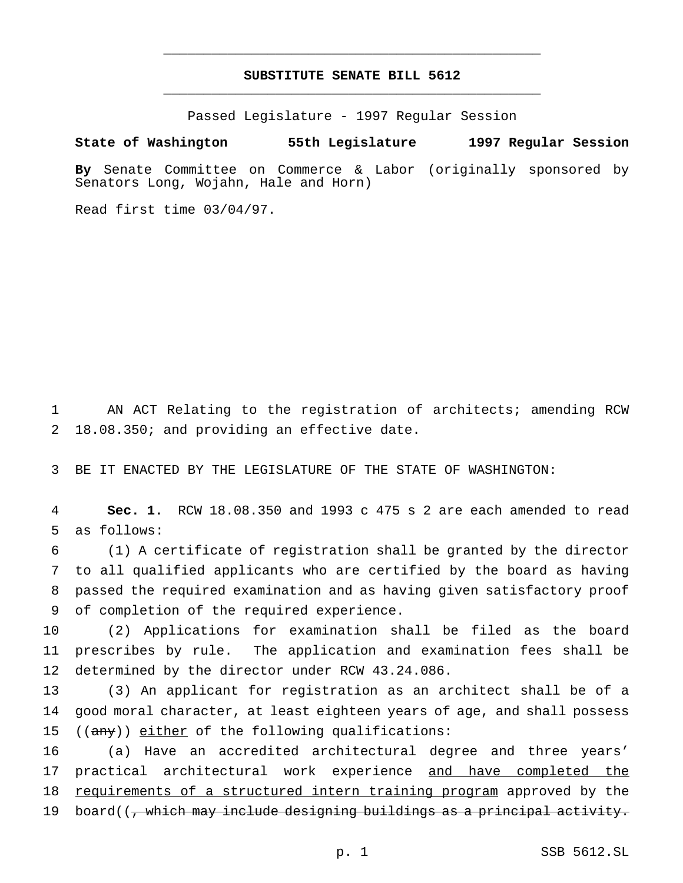## **SUBSTITUTE SENATE BILL 5612** \_\_\_\_\_\_\_\_\_\_\_\_\_\_\_\_\_\_\_\_\_\_\_\_\_\_\_\_\_\_\_\_\_\_\_\_\_\_\_\_\_\_\_\_\_\_\_

\_\_\_\_\_\_\_\_\_\_\_\_\_\_\_\_\_\_\_\_\_\_\_\_\_\_\_\_\_\_\_\_\_\_\_\_\_\_\_\_\_\_\_\_\_\_\_

Passed Legislature - 1997 Regular Session

### **State of Washington 55th Legislature 1997 Regular Session**

**By** Senate Committee on Commerce & Labor (originally sponsored by Senators Long, Wojahn, Hale and Horn)

Read first time 03/04/97.

1 AN ACT Relating to the registration of architects; amending RCW 2 18.08.350; and providing an effective date.

3 BE IT ENACTED BY THE LEGISLATURE OF THE STATE OF WASHINGTON:

4 **Sec. 1.** RCW 18.08.350 and 1993 c 475 s 2 are each amended to read 5 as follows:

 (1) A certificate of registration shall be granted by the director to all qualified applicants who are certified by the board as having passed the required examination and as having given satisfactory proof of completion of the required experience.

10 (2) Applications for examination shall be filed as the board 11 prescribes by rule. The application and examination fees shall be 12 determined by the director under RCW 43.24.086.

13 (3) An applicant for registration as an architect shall be of a 14 good moral character, at least eighteen years of age, and shall possess 15 ((any)) either of the following qualifications:

16 (a) Have an accredited architectural degree and three years' 17 practical architectural work experience and have completed the 18 requirements of a structured intern training program approved by the 19 board((, which may include designing buildings as a principal activity.